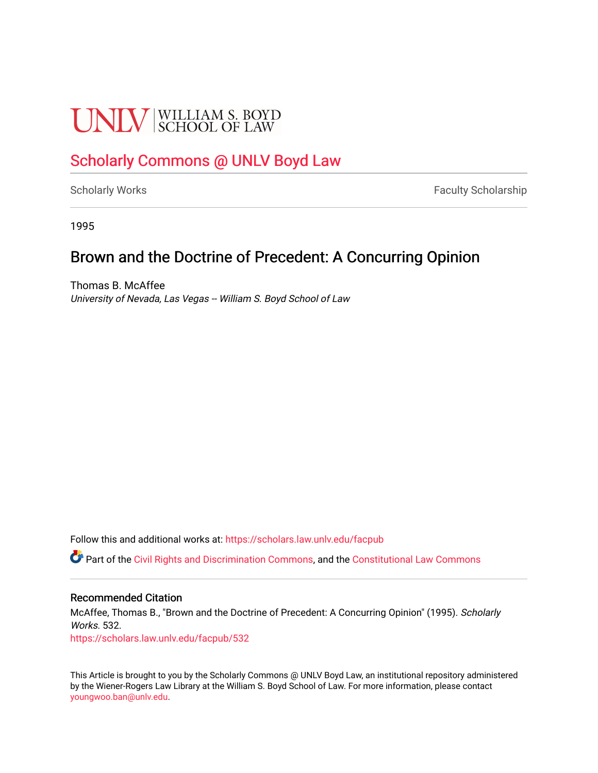# **UNIV** SCHOOL OF LAW

## [Scholarly Commons @ UNLV Boyd Law](https://scholars.law.unlv.edu/)

[Scholarly Works](https://scholars.law.unlv.edu/facpub) **Faculty Scholarship** Faculty Scholarship

1995

### Brown and the Doctrine of Precedent: A Concurring Opinion

Thomas B. McAffee University of Nevada, Las Vegas -- William S. Boyd School of Law

Follow this and additional works at: [https://scholars.law.unlv.edu/facpub](https://scholars.law.unlv.edu/facpub?utm_source=scholars.law.unlv.edu%2Ffacpub%2F532&utm_medium=PDF&utm_campaign=PDFCoverPages)

Part of the [Civil Rights and Discrimination Commons,](http://network.bepress.com/hgg/discipline/585?utm_source=scholars.law.unlv.edu%2Ffacpub%2F532&utm_medium=PDF&utm_campaign=PDFCoverPages) and the [Constitutional Law Commons](http://network.bepress.com/hgg/discipline/589?utm_source=scholars.law.unlv.edu%2Ffacpub%2F532&utm_medium=PDF&utm_campaign=PDFCoverPages)

#### Recommended Citation

McAffee, Thomas B., "Brown and the Doctrine of Precedent: A Concurring Opinion" (1995). Scholarly Works. 532.

[https://scholars.law.unlv.edu/facpub/532](https://scholars.law.unlv.edu/facpub/532?utm_source=scholars.law.unlv.edu%2Ffacpub%2F532&utm_medium=PDF&utm_campaign=PDFCoverPages)

This Article is brought to you by the Scholarly Commons @ UNLV Boyd Law, an institutional repository administered by the Wiener-Rogers Law Library at the William S. Boyd School of Law. For more information, please contact [youngwoo.ban@unlv.edu.](mailto:youngwoo.ban@unlv.edu)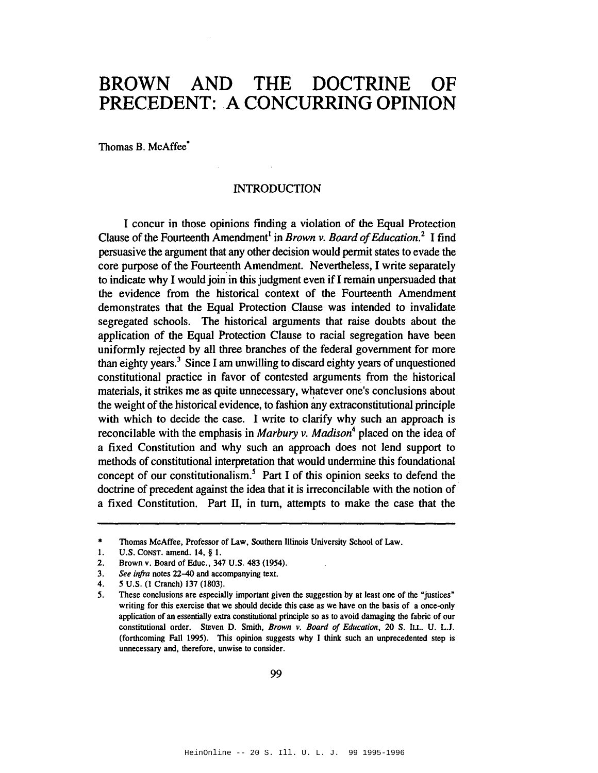#### BROWN AND THE DOCTRINE OF PRECEDENT: A CONCURRING OPINION

Thomas B. McAffee<sup>\*</sup>

#### **INTRODUCTION**

I concur in those opinions finding a violation of the Equal Protection Clause of the Fourteenth Amendment<sup>1</sup> in *Brown v. Board of Education*.<sup>2</sup> I find persuasive the argument that any other decision would permit states to evade the core purpose of the Fourteenth Amendment. Nevertheless, I write separately to indicate why I would join in this judgment even if I remain unpersuaded that the evidence from the historical context of the Fourteenth Amendment demonstrates that the Equal Protection Clause was intended to invalidate segregated schools. The historical arguments that raise doubts about the application of the Equal Protection Clause to racial segregation have been uniformly rejected by all three branches of the federal government for more than eighty years.<sup>3</sup> Since I am unwilling to discard eighty years of unquestioned constitutional practice in favor of contested arguments from the historical materials, it strikes me as quite unnecessary, whatever one's conclusions about the weight of the historical evidence, to fashion any extraconstitutional principle with which to decide the case. I write to clarify why such an approach is reconcilable with the emphasis in Marbury v. Madison<sup>4</sup> placed on the idea of a fixed Constitution and why such an approach does not lend support to methods of constitutional interpretation that would undermine this foundational concept of our constitutionalism.<sup>5</sup> Part I of this opinion seeks to defend the doctrine of precedent against the idea that it is irreconcilable with the notion of a fixed Constitution. Part II, in turn, attempts to make the case that the

 $\bullet$ Thomas McAffee, Professor of Law, Southern Illinois University School of Law.

 $\mathbf{1}$ . U.S. CONST. amend. 14, § 1.

 $2.$ Brown v. Board of Educ., 347 U.S. 483 (1954).

See infra notes 22-40 and accompanying text.  $3.$ 

<sup>5</sup> U.S. (1 Cranch) 137 (1803).  $4.$ 

These conclusions are especially important given the suggestion by at least one of the "justices"  $5<sub>1</sub>$ writing for this exercise that we should decide this case as we have on the basis of a once-only application of an essentially extra constitutional principle so as to avoid damaging the fabric of our constitutional order. Steven D. Smith, Brown v. Board of Education, 20 S. ILL. U. L.J. (forthcoming Fall 1995). This opinion suggests why I think such an unprecedented step is unnecessary and, therefore, unwise to consider.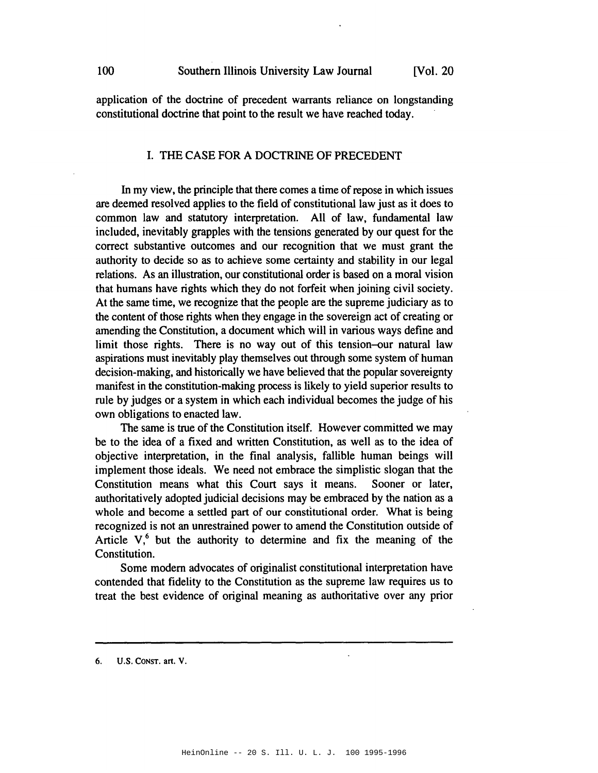100

application of the doctrine of precedent warrants reliance on longstanding constitutional doctrine that point to the result we have reached today.

#### I. THE CASE FOR A DOCTRINE OF PRECEDENT

In my view, the principle that there comes a time of repose in which issues are deemed resolved applies to the field of constitutional law just as it does to common law and statutory interpretation. All of law, fundamental law included, inevitably grapples with the tensions generated by our quest for the correct substantive outcomes and our recognition that we must grant the authority to decide so as to achieve some certainty and stability in our legal relations. As an illustration, our constitutional order is based on a moral vision that humans have rights which they do not forfeit when joining civil society. At the same time, we recognize that the people are the supreme judiciary as to the content of those rights when they engage in the sovereign act of creating or amending the Constitution, a document which will in various ways define and limit those rights. There is no way out of this tension-our natural law aspirations must inevitably play themselves out through some system of human decision-making, and historically we have believed that the popular sovereignty manifest in the constitution-making process is likely to yield superior results to rule by judges or a system in which each individual becomes the judge of his own obligations to enacted law.

The same is true of the Constitution itself. However committed we may be to the idea of a fixed and written Constitution, as well as to the idea of objective interpretation, in the final analysis, fallible human beings will implement those ideals. We need not embrace the simplistic slogan that the Constitution means what this Court says it means. Sooner or later, authoritatively adopted judicial decisions may be embraced by the nation as a whole and become a settled part of our constitutional order. What is being recognized is not an unrestrained power to amend the Constitution outside of Article  $V<sub>1</sub><sup>6</sup>$  but the authority to determine and fix the meaning of the Constitution.

Some modern advocates of originalist constitutional interpretation have contended that fidelity to the Constitution as the supreme law requires us to treat the best evidence of original meaning as authoritative over any prior

U.S. CONST. art. V. 6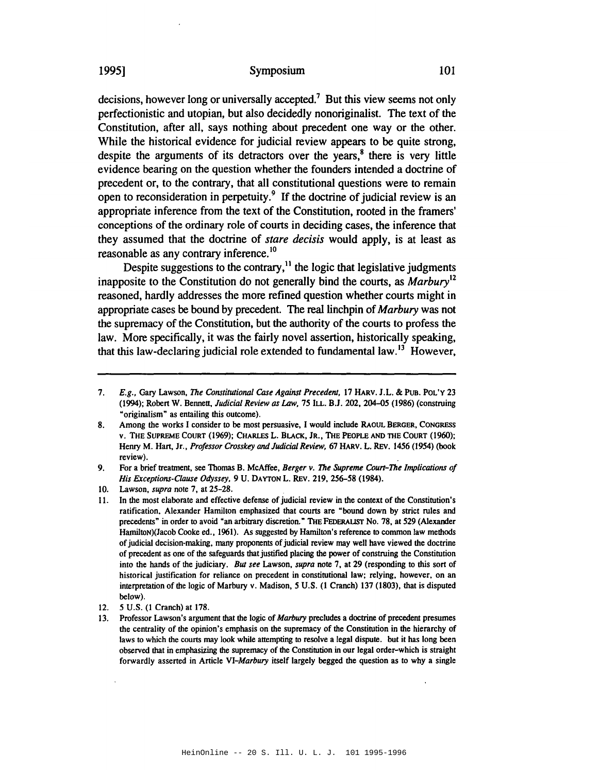#### Symposium

decisions, however long or universally accepted.<sup>7</sup> But this view seems not only perfectionistic and utopian, but also decidedly nonoriginalist. The text of the Constitution, after all, says nothing about precedent one way or the other. While the historical evidence for judicial review appears to be quite strong. despite the arguments of its detractors over the years,<sup>8</sup> there is very little evidence bearing on the question whether the founders intended a doctrine of precedent or, to the contrary, that all constitutional questions were to remain open to reconsideration in perpetuity.<sup>9</sup> If the doctrine of judicial review is an appropriate inference from the text of the Constitution, rooted in the framers' conceptions of the ordinary role of courts in deciding cases, the inference that they assumed that the doctrine of *stare decisis* would apply, is at least as reasonable as any contrary inference.<sup>10</sup>

Despite suggestions to the contrary,<sup>11</sup> the logic that legislative judgments inapposite to the Constitution do not generally bind the courts, as Marbury<sup>12</sup> reasoned, hardly addresses the more refined question whether courts might in appropriate cases be bound by precedent. The real linchpin of *Marbury* was not the supremacy of the Constitution, but the authority of the courts to profess the law. More specifically, it was the fairly novel assertion, historically speaking, that this law-declaring judicial role extended to fundamental law.<sup>13</sup> However,

E.g., Gary Lawson, The Constitutional Case Against Precedent, 17 HARV. J.L. & PUB. POL'Y 23 7. (1994); Robert W. Bennett, Judicial Review as Law, 75 ILL. B.J. 202, 204-05 (1986) (construing "originalism" as entailing this outcome).

Among the works I consider to be most persuasive, I would include RAOUL BERGER, CONGRESS 8. v. THE SUPREME COURT (1969); CHARLES L. BLACK, JR., THE PEOPLE AND THE COURT (1960); Henry M. Hart, Jr., Professor Crosskey and Judicial Review, 67 HARV. L. REV. 1456 (1954) (book review).

<sup>9.</sup> For a brief treatment, see Thomas B. McAffee, Berger v. The Supreme Court-The Implications of His Exceptions-Clause Odyssey, 9 U. DAYTON L. REV. 219, 256-58 (1984).

<sup>10.</sup> Lawson, *supra* note 7, at 25-28.

In the most elaborate and effective defense of judicial review in the context of the Constitution's ratification, Alexander Hamilton emphasized that courts are "bound down by strict rules and precedents" in order to avoid "an arbitrary discretion." THE FEDERALIST No. 78, at 529 (Alexander Hamilton)(Jacob Cooke ed., 1961). As suggested by Hamilton's reference to common law methods of judicial decision-making, many proponents of judicial review may well have viewed the doctrine of precedent as one of the safeguards that justified placing the power of construing the Constitution into the hands of the judiciary. But see Lawson, supra note 7, at 29 (responding to this sort of historical justification for reliance on precedent in constitutional law; relying, however, on an interpretation of the logic of Marbury v. Madison, 5 U.S. (1 Cranch) 137 (1803), that is disputed below).

<sup>12. 5</sup> U.S. (1 Cranch) at 178.

Professor Lawson's argument that the logic of Marbury precludes a doctrine of precedent presumes  $13.$ the centrality of the opinion's emphasis on the supremacy of the Constitution in the hierarchy of laws to which the courts may look while attempting to resolve a legal dispute. but it has long been observed that in emphasizing the supremacy of the Constitution in our legal order-which is straight forwardly asserted in Article VI-Marbury itself largely begged the question as to why a single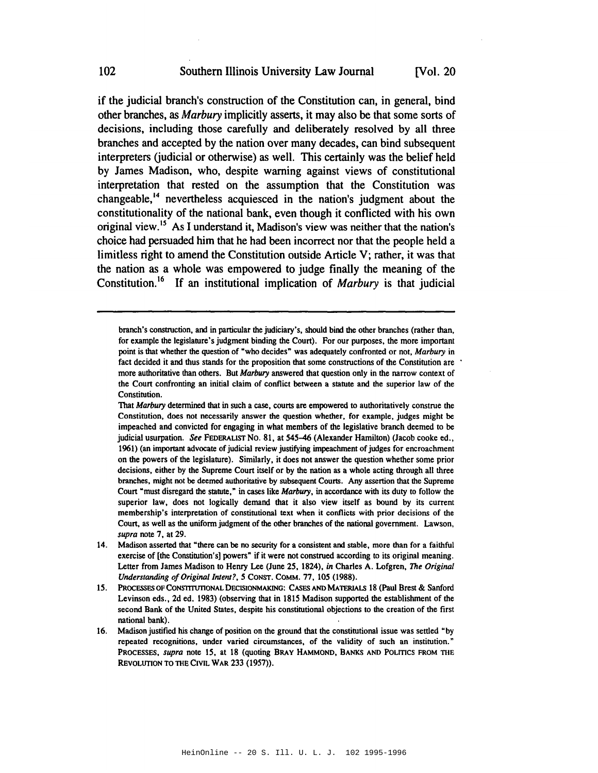**IVol. 20** 

if the judicial branch's construction of the Constitution can, in general, bind other branches, as Marbury implicitly asserts, it may also be that some sorts of decisions, including those carefully and deliberately resolved by all three branches and accepted by the nation over many decades, can bind subsequent interpreters (judicial or otherwise) as well. This certainly was the belief held by James Madison, who, despite warning against views of constitutional interpretation that rested on the assumption that the Constitution was changeable,<sup>14</sup> nevertheless acquiesced in the nation's judgment about the constitutionality of the national bank, even though it conflicted with his own original view.<sup>15</sup> As I understand it, Madison's view was neither that the nation's choice had persuaded him that he had been incorrect nor that the people held a limitless right to amend the Constitution outside Article V; rather, it was that the nation as a whole was empowered to judge finally the meaning of the Constitution.<sup>16</sup> If an institutional implication of *Marbury* is that judicial

branch's construction, and in particular the judiciary's, should bind the other branches (rather than, for example the legislature's judgment binding the Court). For our purposes, the more important point is that whether the question of "who decides" was adequately confronted or not, Marbury in fact decided it and thus stands for the proposition that some constructions of the Constitution are more authoritative than others. But Marbury answered that question only in the narrow context of the Court confronting an initial claim of conflict between a statute and the superior law of the Constitution.

That Marbury determined that in such a case, courts are empowered to authoritatively construe the Constitution, does not necessarily answer the question whether, for example, judges might be impeached and convicted for engaging in what members of the legislative branch deemed to be judicial usurpation. See FEDERALIST NO. 81, at 545-46 (Alexander Hamilton) (Jacob cooke ed., 1961) (an important advocate of judicial review justifying impeachment of judges for encroachment on the powers of the legislature). Similarly, it does not answer the question whether some prior decisions, either by the Supreme Court itself or by the nation as a whole acting through all three branches, might not be deemed authoritative by subsequent Courts. Any assertion that the Supreme Court "must disregard the statute," in cases like *Marbury*, in accordance with its duty to follow the superior law, does not logically demand that it also view itself as bound by its current membership's interpretation of constitutional text when it conflicts with prior decisions of the Court, as well as the uniform judgment of the other branches of the national government. Lawson, supra note 7, at 29.

<sup>14.</sup> Madison asserted that "there can be no security for a consistent and stable, more than for a faithful exercise of [the Constitution's] powers" if it were not construed according to its original meaning. Letter from James Madison to Henry Lee (June 25, 1824), in Charles A. Lofgren, The Original Understanding of Original Intent?, 5 CONST. COMM. 77, 105 (1988).

PROCESSES OF CONSTITUTIONAL DECISIONMAKING: CASES AND MATERIALS 18 (Paul Brest & Sanford  $15.$ Levinson eds., 2d ed. 1983) (observing that in 1815 Madison supported the establishment of the second Bank of the United States, despite his constitutional objections to the creation of the first national bank).

Madison justified his change of position on the ground that the constitutional issue was settled "by 16. repeated recognitions, under varied circumstances, of the validity of such an institution." PROCESSES, supra note 15, at 18 (quoting BRAY HAMMOND, BANKS AND POLITICS FROM THE REVOLUTION TO THE CIVIL WAR 233 (1957)).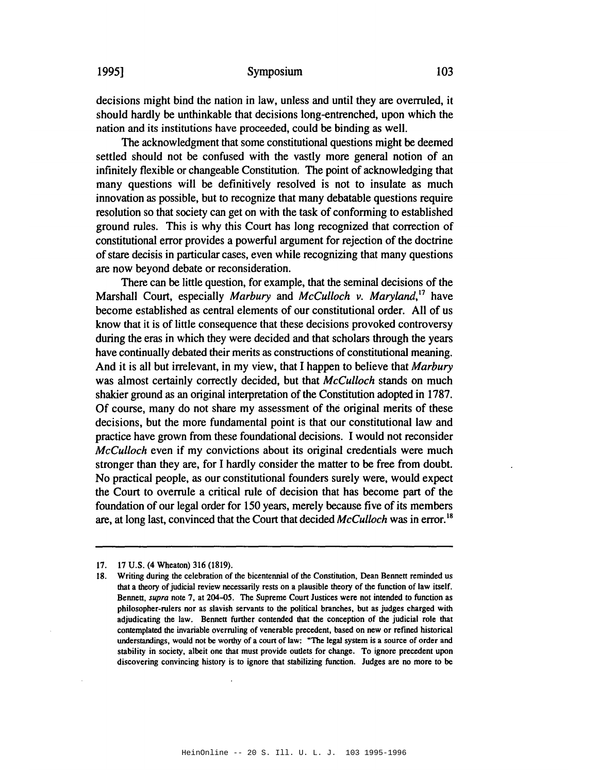#### Symposium

decisions might bind the nation in law, unless and until they are overruled, it should hardly be unthinkable that decisions long-entrenched, upon which the nation and its institutions have proceeded, could be binding as well.

The acknowledgment that some constitutional questions might be deemed settled should not be confused with the vastly more general notion of an infinitely flexible or changeable Constitution. The point of acknowledging that many questions will be definitively resolved is not to insulate as much innovation as possible, but to recognize that many debatable questions require resolution so that society can get on with the task of conforming to established ground rules. This is why this Court has long recognized that correction of constitutional error provides a powerful argument for rejection of the doctrine of stare decisis in particular cases, even while recognizing that many questions are now beyond debate or reconsideration.

There can be little question, for example, that the seminal decisions of the Marshall Court, especially Marbury and McCulloch v. Maryland,<sup>17</sup> have become established as central elements of our constitutional order. All of us know that it is of little consequence that these decisions provoked controversy during the eras in which they were decided and that scholars through the years have continually debated their merits as constructions of constitutional meaning. And it is all but irrelevant, in my view, that I happen to believe that *Marbury* was almost certainly correctly decided, but that McCulloch stands on much shakier ground as an original interpretation of the Constitution adopted in 1787. Of course, many do not share my assessment of the original merits of these decisions, but the more fundamental point is that our constitutional law and practice have grown from these foundational decisions. I would not reconsider *McCulloch* even if my convictions about its original credentials were much stronger than they are, for I hardly consider the matter to be free from doubt. No practical people, as our constitutional founders surely were, would expect the Court to overrule a critical rule of decision that has become part of the foundation of our legal order for 150 years, merely because five of its members are, at long last, convinced that the Court that decided McCulloch was in error.<sup>18</sup>

19951

<sup>17. 17</sup> U.S. (4 Wheaton) 316 (1819).

<sup>18.</sup> Writing during the celebration of the bicentennial of the Constitution, Dean Bennett reminded us that a theory of judicial review necessarily rests on a plausible theory of the function of law itself. Bennett, *supra* note 7, at 204–05. The Supreme Court Justices were not intended to function as philosopher-rulers nor as slavish servants to the political branches, but as judges charged with adjudicating the law. Bennett further contended that the conception of the judicial role that contemplated the invariable overruling of venerable precedent, based on new or refined historical understandings, would not be worthy of a court of law: "The legal system is a source of order and stability in society, albeit one that must provide outlets for change. To ignore precedent upon discovering convincing history is to ignore that stabilizing function. Judges are no more to be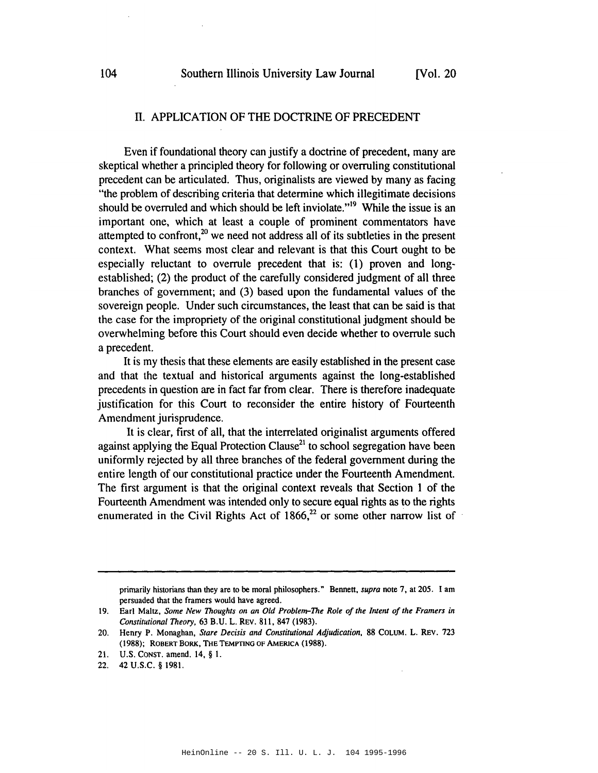#### II. APPLICATION OF THE DOCTRINE OF PRECEDENT

Even if foundational theory can justify a doctrine of precedent, many are skeptical whether a principled theory for following or overruling constitutional precedent can be articulated. Thus, originalists are viewed by many as facing "the problem of describing criteria that determine which illegitimate decisions should be overruled and which should be left inviolate."<sup>19</sup> While the issue is an important one, which at least a couple of prominent commentators have attempted to confront, $2^{\circ}$  we need not address all of its subtleties in the present context. What seems most clear and relevant is that this Court ought to be especially reluctant to overrule precedent that is: (1) proven and longestablished; (2) the product of the carefully considered judgment of all three branches of government; and (3) based upon the fundamental values of the sovereign people. Under such circumstances, the least that can be said is that the case for the impropriety of the original constitutional judgment should be overwhelming before this Court should even decide whether to overrule such a precedent.

It is my thesis that these elements are easily established in the present case and that the textual and historical arguments against the long-established precedents in question are in fact far from clear. There is therefore inadequate justification for this Court to reconsider the entire history of Fourteenth Amendment jurisprudence.

It is clear, first of all, that the interrelated originalist arguments offered against applying the Equal Protection Clause<sup>21</sup> to school segregation have been uniformly rejected by all three branches of the federal government during the entire length of our constitutional practice under the Fourteenth Amendment. The first argument is that the original context reveals that Section 1 of the Fourteenth Amendment was intended only to secure equal rights as to the rights enumerated in the Civil Rights Act of  $1866$ <sup>22</sup> or some other narrow list of

primarily historians than they are to be moral philosophers." Bennett, supra note 7, at 205. I am persuaded that the framers would have agreed.

<sup>19.</sup> Earl Maltz, Some New Thoughts on an Old Problem-The Role of the Intent of the Framers in Constitutional Theory, 63 B.U. L. REV. 811, 847 (1983).

<sup>20.</sup> Henry P. Monaghan, Stare Decisis and Constitutional Adjudication, 88 COLUM. L. REV. 723 (1988); ROBERT BORK, THE TEMPTING OF AMERICA (1988).

<sup>21.</sup> U.S. CONST. amend. 14, § 1.

<sup>22. 42</sup> U.S.C. § 1981.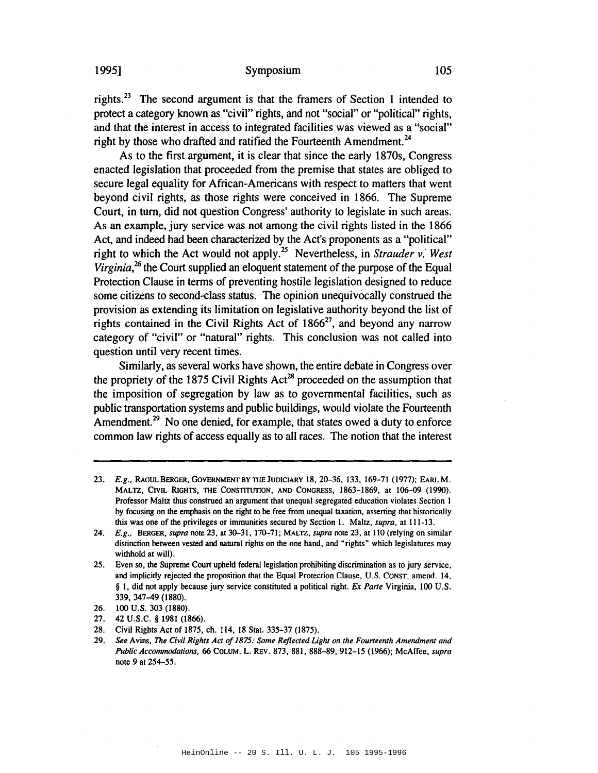#### Symposium

rights.<sup>23</sup> The second argument is that the framers of Section 1 intended to protect a category known as "civil" rights, and not "social" or "political" rights, and that the interest in access to integrated facilities was viewed as a "social" right by those who drafted and ratified the Fourteenth Amendment.<sup>24</sup>

As to the first argument, it is clear that since the early 1870s, Congress enacted legislation that proceeded from the premise that states are obliged to secure legal equality for African-Americans with respect to matters that went beyond civil rights, as those rights were conceived in 1866. The Supreme Court, in turn, did not question Congress' authority to legislate in such areas. As an example, jury service was not among the civil rights listed in the 1866 Act, and indeed had been characterized by the Act's proponents as a "political" right to which the Act would not apply.<sup>25</sup> Nevertheless, in Strauder v. West Virginia,<sup>26</sup> the Court supplied an eloquent statement of the purpose of the Equal Protection Clause in terms of preventing hostile legislation designed to reduce some citizens to second-class status. The opinion unequivocally construed the provision as extending its limitation on legislative authority beyond the list of rights contained in the Civil Rights Act of  $1866^{27}$ , and beyond any narrow category of "civil" or "natural" rights. This conclusion was not called into question until very recent times.

Similarly, as several works have shown, the entire debate in Congress over the propriety of the 1875 Civil Rights Act<sup>28</sup> proceeded on the assumption that the imposition of segregation by law as to governmental facilities, such as public transportation systems and public buildings, would violate the Fourteenth Amendment.<sup>29</sup> No one denied, for example, that states owed a duty to enforce common law rights of access equally as to all races. The notion that the interest

23. E.g., RAOUL BERGER, GOVERNMENT BY THE JUDICIARY 18, 20-36, 133, 169-71 (1977); EARL M. MALTZ, CIVIL RIGHTS, THE CONSTITUTION, AND CONGRESS, 1863-1869, at 106-09 (1990). Professor Maltz thus construed an argument that unequal segregated education violates Section 1 by focusing on the emphasis on the right to be free from unequal taxation, asserting that historically this was one of the privileges or immunities secured by Section 1. Maltz, *supra*, at 111-13.

1995]

<sup>24.</sup> E.g., BERGER, supra note 23, at 30-31, 170-71; MALTZ, supra note 23, at 110 (relying on similar distinction between vested and natural rights on the one hand, and "rights" which legislatures may withhold at will).

<sup>25.</sup> Even so, the Supreme Court upheld federal legislation prohibiting discrimination as to jury service, and implicitly rejected the proposition that the Equal Protection Clause, U.S. CONST. amend. 14, § 1, did not apply because jury service constituted a political right. Ex Parte Virginia, 100 U.S. 339, 347-49 (1880).

<sup>26.</sup> 100 U.S. 303 (1880).

 $27<sub>1</sub>$ 42 U.S.C. § 1981 (1866).

Civil Rights Act of 1875, ch. 114, 18 Stat. 335-37 (1875). 28.

<sup>29.</sup> See Avins, The Civil Rights Act of 1875: Some Reflected Light on the Fourteenth Amendment and Public Accommodations, 66 COLUM. L. REV. 873, 881, 888-89, 912-15 (1966); McAffee, supra note 9 at 254-55.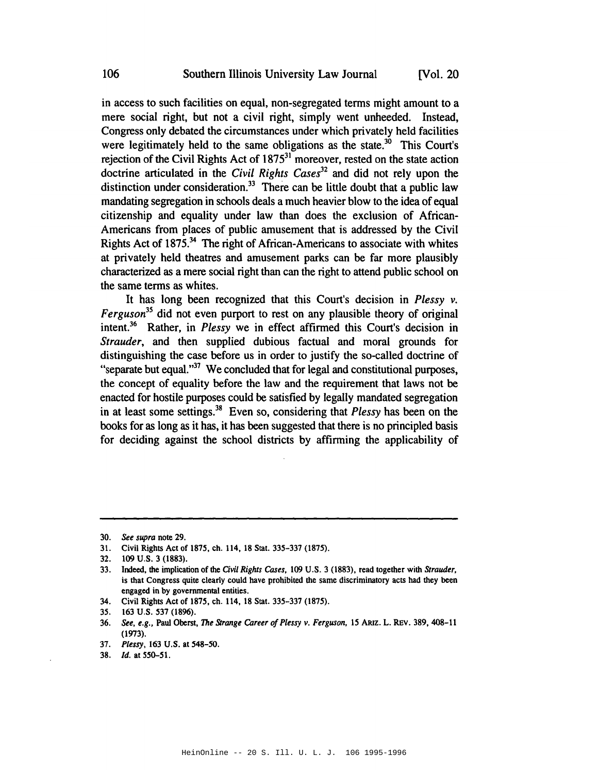in access to such facilities on equal, non-segregated terms might amount to a mere social right, but not a civil right, simply went unheeded. Instead, Congress only debated the circumstances under which privately held facilities were legitimately held to the same obligations as the state.<sup>30</sup> This Court's rejection of the Civil Rights Act of  $1875<sup>31</sup>$  moreover, rested on the state action doctrine articulated in the Civil Rights Cases<sup>32</sup> and did not rely upon the distinction under consideration.<sup>33</sup> There can be little doubt that a public law mandating segregation in schools deals a much heavier blow to the idea of equal citizenship and equality under law than does the exclusion of African-Americans from places of public amusement that is addressed by the Civil Rights Act of 1875.<sup>34</sup> The right of African-Americans to associate with whites at privately held theatres and amusement parks can be far more plausibly characterized as a mere social right than can the right to attend public school on the same terms as whites.

It has long been recognized that this Court's decision in Plessy v.  $Ferguson<sup>35</sup>$  did not even purport to rest on any plausible theory of original intent.<sup>36</sup> Rather, in *Plessy* we in effect affirmed this Court's decision in *Strauder*, and then supplied dubious factual and moral grounds for distinguishing the case before us in order to justify the so-called doctrine of "separate but equal."<sup>37</sup> We concluded that for legal and constitutional purposes, the concept of equality before the law and the requirement that laws not be enacted for hostile purposes could be satisfied by legally mandated segregation in at least some settings.<sup>38</sup> Even so, considering that *Plessy* has been on the books for as long as it has, it has been suggested that there is no principled basis for deciding against the school districts by affirming the applicability of

34. Civil Rights Act of 1875, ch. 114, 18 Stat. 335-337 (1875).

<sup>30.</sup> See supra note 29.

<sup>31.</sup> Civil Rights Act of 1875, ch. 114, 18 Stat. 335-337 (1875).

<sup>32. 109</sup> U.S. 3 (1883).

<sup>33.</sup> Indeed, the implication of the Civil Rights Cases, 109 U.S. 3 (1883), read together with Strauder, is that Congress quite clearly could have prohibited the same discriminatory acts had they been engaged in by governmental entities.

<sup>35. 163</sup> U.S. 537 (1896).

<sup>36.</sup> See, e.g., Paul Oberst, The Strange Career of Plessy v. Ferguson, 15 ARIZ. L. REV. 389, 408-11  $(1973).$ 

<sup>37.</sup> Plessy, 163 U.S. at 548-50.

<sup>38.</sup> *Id.* at 550-51.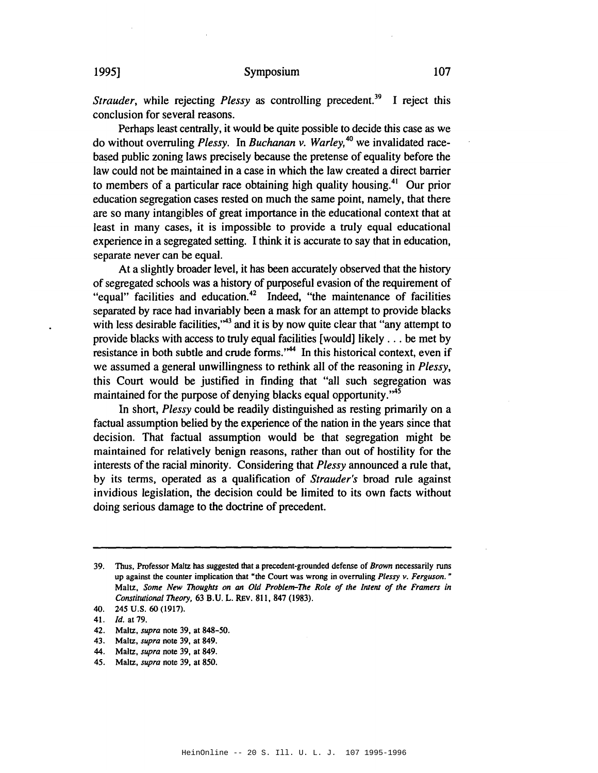*Strauder*, while rejecting *Plessy* as controlling precedent.<sup>39</sup> I reject this conclusion for several reasons.

Perhaps least centrally, it would be quite possible to decide this case as we do without overruling Plessy. In Buchanan v. Warley,<sup>40</sup> we invalidated racebased public zoning laws precisely because the pretense of equality before the law could not be maintained in a case in which the law created a direct barrier to members of a particular race obtaining high quality housing.<sup>41</sup> Our prior education segregation cases rested on much the same point, namely, that there are so many intangibles of great importance in the educational context that at least in many cases, it is impossible to provide a truly equal educational experience in a segregated setting. I think it is accurate to say that in education, separate never can be equal.

At a slightly broader level, it has been accurately observed that the history of segregated schools was a history of purposeful evasion of the requirement of "equal" facilities and education.<sup>42</sup> Indeed, "the maintenance of facilities separated by race had invariably been a mask for an attempt to provide blacks with less desirable facilities,"<sup>43</sup> and it is by now quite clear that "any attempt to provide blacks with access to truly equal facilities [would] likely . . . be met by resistance in both subtle and crude forms."<sup>44</sup> In this historical context, even if we assumed a general unwillingness to rethink all of the reasoning in Plessy, this Court would be justified in finding that "all such segregation was maintained for the purpose of denying blacks equal opportunity."<sup>45</sup>

In short, *Plessy* could be readily distinguished as resting primarily on a factual assumption belied by the experience of the nation in the years since that decision. That factual assumption would be that segregation might be maintained for relatively benign reasons, rather than out of hostility for the interests of the racial minority. Considering that *Plessy* announced a rule that, by its terms, operated as a qualification of *Strauder's* broad rule against invidious legislation, the decision could be limited to its own facts without doing serious damage to the doctrine of precedent.

<sup>39.</sup> Thus, Professor Maltz has suggested that a precedent-grounded defense of *Brown* necessarily runs up against the counter implication that "the Court was wrong in overruling Plessy  $v$ . Ferguson." Maltz, Some New Thoughts on an Old Problem-The Role of the Intent of the Framers in Constitutional Theory, 63 B.U. L. REV. 811, 847 (1983).

<sup>40. 245</sup> U.S. 60 (1917).

<sup>41.</sup> *ld.* at 79.

<sup>42.</sup> Maltz, *supra* note 39, at 848-50.

<sup>43.</sup> Maltz, *supra* note 39, at 849.

<sup>44.</sup> Maltz, *supra* note 39, at 849.

<sup>45.</sup> Maltz, supra note 39, at 850.